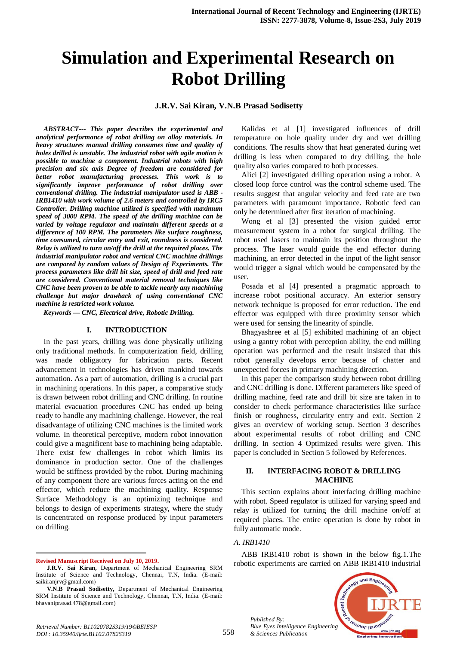# **Simulation and Experimental Research on Robot Drilling**

**J.R.V. Sai Kiran, V.N.B Prasad Sodisetty** 

*ABSTRACT--- This paper describes the experimental and analytical performance of robot drilling on alloy materials. In heavy structures manual drilling consumes time and quality of holes drilled is unstable. The industrial robot with agile motion is possible to machine a component. Industrial robots with high precision and six axis Degree of freedom are considered for better robot manufacturing processes. This work is to significantly improve performance of robot drilling over conventional drilling. The industrial manipulator used is ABB - IRB1410 with work volume of 2.6 meters and controlled by IRC5 Controller. Drilling machine utilized is specified with maximum speed of 3000 RPM. The speed of the drilling machine can be varied by voltage regulator and maintain different speeds at a difference of 100 RPM. The parameters like surface roughness, time consumed, circular entry and exit, roundness is considered. Relay is utilized to turn on/off the drill at the required places. The industrial manipulator robot and vertical CNC machine drillings are compared by random values of Design of Experiments. The process parameters like drill bit size, speed of drill and feed rate are considered. Conventional material removal techniques like CNC have been proven to be able to tackle nearly any machining challenge but major drawback of using conventional CNC machine is restricted work volume.*

*Keywords — CNC, Electrical drive, Robotic Drilling.*

### **I. INTRODUCTION**

In the past years, drilling was done physically utilizing only traditional methods. In computerization field, drilling was made obligatory for fabrication parts. Recent advancement in technologies has driven mankind towards automation. As a part of automation, drilling is a crucial part in machining operations. In this paper, a comparative study is drawn between robot drilling and CNC drilling. In routine material evacuation procedures CNC has ended up being ready to handle any machining challenge. However, the real disadvantage of utilizing CNC machines is the limited work volume. In theoretical perceptive, modern robot innovation could give a magnificent base to machining being adaptable. There exist few challenges in robot which limits its dominance in production sector. One of the challenges would be stiffness provided by the robot. During machining of any component there are various forces acting on the end effector, which reduce the machining quality. Response Surface Methodology is an optimizing technique and belongs to design of experiments strategy, where the study is concentrated on response produced by input parameters on drilling.

**Revised Manuscript Received on July 10, 2019.**

 $\overline{a}$ 

Kalidas et al [1] investigated influences of drill temperature on hole quality under dry and wet drilling conditions. The results show that heat generated during wet drilling is less when compared to dry drilling, the hole quality also varies compared to both processes.

Alici [2] investigated drilling operation using a robot. A closed loop force control was the control scheme used. The results suggest that angular velocity and feed rate are two parameters with paramount importance. Robotic feed can only be determined after first iteration of machining.

Wong et al [3] presented the vision guided error measurement system in a robot for surgical drilling. The robot used lasers to maintain its position throughout the process. The laser would guide the end effector during machining, an error detected in the input of the light sensor would trigger a signal which would be compensated by the user.

Posada et al [4] presented a pragmatic approach to increase robot positional accuracy. An exterior sensory network technique is proposed for error reduction. The end effector was equipped with three proximity sensor which were used for sensing the linearity of spindle.

Bhagyashree et al [5] exhibited machining of an object using a gantry robot with perception ability, the end milling operation was performed and the result insisted that this robot generally develops error because of chatter and unexpected forces in primary machining direction.

In this paper the comparison study between robot drilling and CNC drilling is done. Different parameters like speed of drilling machine, feed rate and drill bit size are taken in to consider to check performance characteristics like surface finish or roughness, circularity entry and exit. Section 2 gives an overview of working setup. Section 3 describes about experimental results of robot drilling and CNC drilling. In section 4 Optimized results were given. This paper is concluded in Section 5 followed by References.

## **II. INTERFACING ROBOT & DRILLING MACHINE**

This section explains about interfacing drilling machine with robot. Speed regulator is utilized for varying speed and relay is utilized for turning the drill machine on/off at required places. The entire operation is done by robot in fully automatic mode.

# *A. IRB1410*

*Published By:*

*& Sciences Publication* 

ABB IRB1410 robot is shown in the below fig.1.The robotic experiments are carried on ABB IRB1410 industrial



**J.R.V. Sai Kiran,** Department of Mechanical Engineering SRM Institute of Science and Technology, Chennai, T.N, India. (E-mail: saikiranjrv@gmail.com)

**V.N.B Prasad Sodisetty,** Department of Mechanical Engineering SRM Institute of Science and Technology, Chennai, T.N, India. (E-mail: bhavaniprasad.478@gmail.com)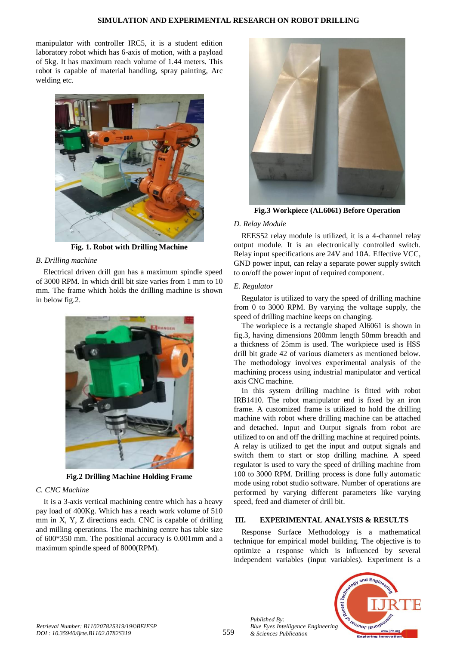manipulator with controller IRC5, it is a student edition laboratory robot which has 6-axis of motion, with a payload of 5kg. It has maximum reach volume of 1.44 meters. This robot is capable of material handling, spray painting, Arc welding etc.



**Fig. 1. Robot with Drilling Machine**

# *B. Drilling machine*

Electrical driven drill gun has a maximum spindle speed of 3000 RPM. In which drill bit size varies from 1 mm to 10 mm. The frame which holds the drilling machine is shown in below fig.2.



**Fig.2 Drilling Machine Holding Frame**

# *C. CNC Machine*

It is a 3-axis vertical machining centre which has a heavy pay load of 400Kg. Which has a reach work volume of 510 mm in X, Y, Z directions each. CNC is capable of drilling and milling operations. The machining centre has table size of 600\*350 mm. The positional accuracy is 0.001mm and a maximum spindle speed of 8000(RPM).



**Fig.3 Workpiece (AL6061) Before Operation**

# *D. Relay Module*

REES52 relay module is utilized, it is a 4-channel relay output module. It is an electronically controlled switch. Relay input specifications are 24V and 10A. Effective VCC, GND power input, can relay a separate power supply switch to on/off the power input of required component.

# *E. Regulator*

Regulator is utilized to vary the speed of drilling machine from 0 to 3000 RPM. By varying the voltage supply, the speed of drilling machine keeps on changing.

The workpiece is a rectangle shaped Al6061 is shown in fig.3, having dimensions 200mm length 50mm breadth and a thickness of 25mm is used. The workpiece used is HSS drill bit grade 42 of various diameters as mentioned below. The methodology involves experimental analysis of the machining process using industrial manipulator and vertical axis CNC machine.

In this system drilling machine is fitted with robot IRB1410. The robot manipulator end is fixed by an iron frame. A customized frame is utilized to hold the drilling machine with robot where drilling machine can be attached and detached. Input and Output signals from robot are utilized to on and off the drilling machine at required points. A relay is utilized to get the input and output signals and switch them to start or stop drilling machine. A speed regulator is used to vary the speed of drilling machine from 100 to 3000 RPM. Drilling process is done fully automatic mode using robot studio software. Number of operations are performed by varying different parameters like varying speed, feed and diameter of drill bit.

# **III. EXPERIMENTAL ANALYSIS & RESULTS**

Response Surface Methodology is a mathematical technique for empirical model building. The objective is to optimize a response which is influenced by several independent variables (input variables). Experiment is a



*Published By:*

*& Sciences Publication*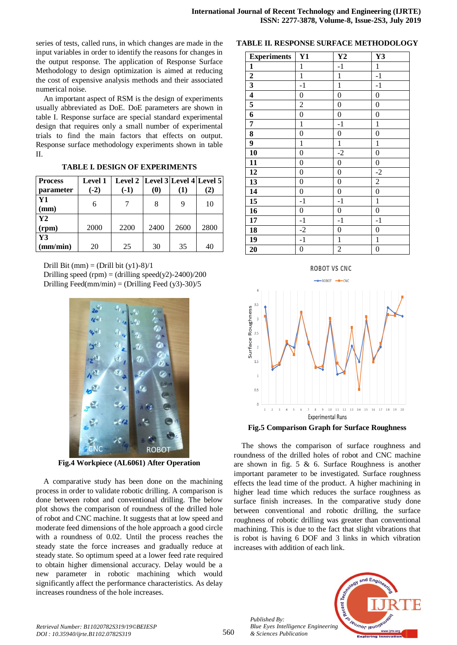series of tests, called runs, in which changes are made in the input variables in order to identify the reasons for changes in the output response. The application of Response Surface Methodology to design optimization is aimed at reducing the cost of expensive analysis methods and their associated numerical noise.

An important aspect of RSM is the design of experiments usually abbreviated as DoE. DoE parameters are shown in table I. Response surface are special standard experimental design that requires only a small number of experimental trials to find the main factors that effects on output. Response surface methodology experiments shown in table II.

|  |  |  | <b>TABLE I. DESIGN OF EXPERIMENTS</b> |
|--|--|--|---------------------------------------|
|--|--|--|---------------------------------------|

| <b>Process</b> | <b>Level 1</b> | Level 2   Level 3  Level 4  Level 5 |                               |          |      |
|----------------|----------------|-------------------------------------|-------------------------------|----------|------|
| parameter      | $(-2)$         | $(-1)$                              | $\boldsymbol{\left(0\right)}$ | $\bf(1)$ | (2)  |
| Y1             | 6              |                                     | 8                             |          | 10   |
| (mm)           |                |                                     |                               |          |      |
| Y2             |                |                                     |                               |          |      |
| (rpm)          | 2000           | 2200                                | 2400                          | 2600     | 2800 |
| Y3             |                |                                     |                               |          |      |
| (mm/min)       | 20             | 25                                  | 30                            | 35       | 40   |

Drill Bit (mm) = (Drill bit  $(y1)-8)/1$ 

Drilling speed (rpm) = (drilling speed(y2)-2400)/200 Drilling Feed(mm/min) = (Drilling Feed  $(y3)$ -30)/5



**Fig.4 Workpiece (AL6061) After Operation**

A comparative study has been done on the machining process in order to validate robotic drilling. A comparison is done between robot and conventional drilling. The below plot shows the comparison of roundness of the drilled hole of robot and CNC machine. It suggests that at low speed and moderate feed dimensions of the hole approach a good circle with a roundness of 0.02. Until the process reaches the steady state the force increases and gradually reduce at steady state. So optimum speed at a lower feed rate required to obtain higher dimensional accuracy. Delay would be a new parameter in robotic machining which would significantly affect the performance characteristics. As delay increases roundness of the hole increases.

## **TABLE II. RESPONSE SURFACE METHODOLOGY**

| <b>Experiments</b>      | <b>Y1</b>        | $\mathbf{Y2}$    | Y3               |
|-------------------------|------------------|------------------|------------------|
| $\mathbf{1}$            | $\mathbf{1}$     | $-1$             | $\,1\,$          |
| $\overline{2}$          | $\mathbbm{1}$    | $\mathbf 1$      | $-1$             |
| $\overline{\mathbf{3}}$ | $-1$             | $\mathbf{1}$     | $-1$             |
| $\overline{\mathbf{4}}$ | $\boldsymbol{0}$ | $\boldsymbol{0}$ | $\boldsymbol{0}$ |
| $\overline{\mathbf{5}}$ | $\overline{2}$   | $\overline{0}$   | $\boldsymbol{0}$ |
| 6                       | $\boldsymbol{0}$ | $\boldsymbol{0}$ | $\boldsymbol{0}$ |
| 7                       | $\mathbf 1$      | $-1$             | $\mathbf{1}$     |
| 8                       | $\boldsymbol{0}$ | $\boldsymbol{0}$ | $\overline{0}$   |
| $\overline{9}$          | $\mathbf{1}$     | $\mathbf 1$      | $\mathbf 1$      |
| 10                      | $\overline{0}$   | $-2$             | $\overline{0}$   |
| 11                      | $\boldsymbol{0}$ | $\boldsymbol{0}$ | $\boldsymbol{0}$ |
| 12                      | $\boldsymbol{0}$ | $\boldsymbol{0}$ | $-2$             |
| $\overline{13}$         | $\boldsymbol{0}$ | $\boldsymbol{0}$ | $\overline{c}$   |
| $\overline{14}$         | $\overline{0}$   | $\boldsymbol{0}$ | $\overline{0}$   |
| $\overline{15}$         | $-1$             | $-1$             | $\mathbf 1$      |
| 16                      | $\boldsymbol{0}$ | $\boldsymbol{0}$ | $\boldsymbol{0}$ |
| 17                      | $^{\rm -1}$      | $-1$             | $^{\rm -1}$      |
| 18                      | $-2$             | $\boldsymbol{0}$ | $\boldsymbol{0}$ |
| 19                      | $-1$             | $\mathbf{1}$     | $\mathbf 1$      |
| $\overline{20}$         | $\boldsymbol{0}$ | $\overline{c}$   | $\boldsymbol{0}$ |





The shows the comparison of surface roughness and roundness of the drilled holes of robot and CNC machine are shown in fig. 5 & 6. Surface Roughness is another important parameter to be investigated. Surface roughness effects the lead time of the product. A higher machining in higher lead time which reduces the surface roughness as surface finish increases. In the comparative study done between conventional and robotic drilling, the surface roughness of robotic drilling was greater than conventional machining. This is due to the fact that slight vibrations that is robot is having 6 DOF and 3 links in which vibration increases with addition of each link.



*Published By:*

*& Sciences Publication*